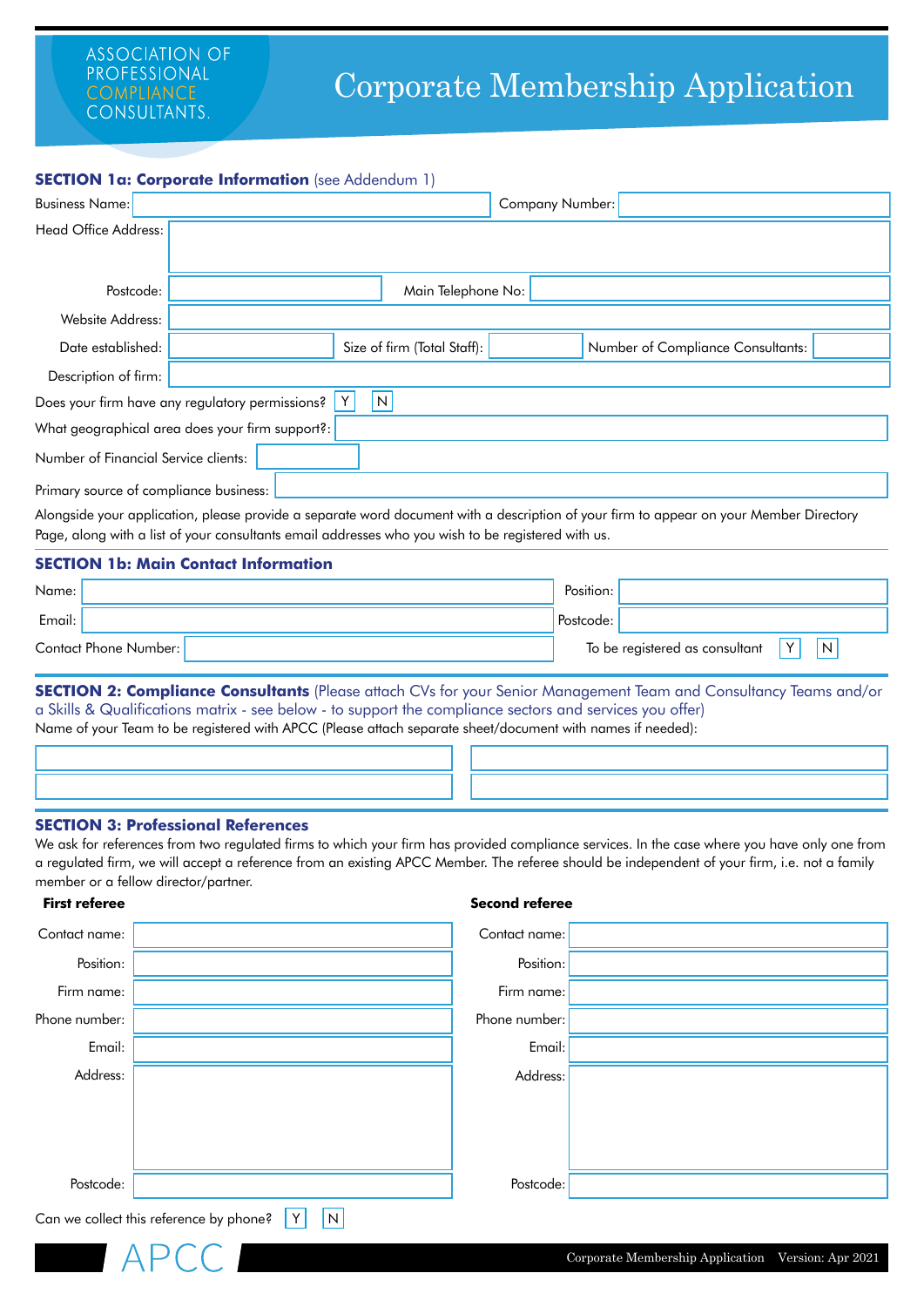# Corporate Membership Application

### **SECTION 1a: Corporate Information** (see Addendum 1)

| <b>Business Name:</b>                  |                                                 |                             | <b>Company Number:</b> |                                                                                                                                        |  |
|----------------------------------------|-------------------------------------------------|-----------------------------|------------------------|----------------------------------------------------------------------------------------------------------------------------------------|--|
| Head Office Address:                   |                                                 |                             |                        |                                                                                                                                        |  |
|                                        |                                                 |                             |                        |                                                                                                                                        |  |
| Postcode:                              |                                                 | Main Telephone No:          |                        |                                                                                                                                        |  |
| Website Address:                       |                                                 |                             |                        |                                                                                                                                        |  |
| Date established:                      |                                                 | Size of firm (Total Staff): |                        | Number of Compliance Consultants:                                                                                                      |  |
| Description of firm:                   |                                                 |                             |                        |                                                                                                                                        |  |
|                                        | Does your firm have any regulatory permissions? | $\mathsf{N}$                |                        |                                                                                                                                        |  |
|                                        | What geographical area does your firm support?: |                             |                        |                                                                                                                                        |  |
| Number of Financial Service clients:   |                                                 |                             |                        |                                                                                                                                        |  |
| Primary source of compliance business: |                                                 |                             |                        |                                                                                                                                        |  |
|                                        |                                                 |                             |                        | Alongside vous application, please provide a separate word document with a description of your firm to appear on your Member Directory |  |

Alongside your application, please provide a separate word document with a description of your firm to appear on your Member Directory Page, along with a list of your consultants email addresses who you wish to be registered with us.

## **SECTION 1b: Main Contact Information**

| Name:  |                       | Position:                      |   |   |
|--------|-----------------------|--------------------------------|---|---|
| Email: |                       | Postcode:                      |   |   |
|        | Contact Phone Number: | To be registered as consultant | v | N |

**SECTION 2: Compliance Consultants** (Please attach CVs for your Senior Management Team and Consultancy Teams and/or a Skills & Qualifications matrix - see below - to support the compliance sectors and services you offer) Name of your Team to be registered with APCC (Please attach separate sheet/document with names if needed):

#### **SECTION 3: Professional References**

APCC

**First referee**

We ask for references from two regulated firms to which your firm has provided compliance services. In the case where you have only one from a regulated firm, we will accept a reference from an existing APCC Member. The referee should be independent of your firm, i.e. not a family member or a fellow director/partner.

**Second referee**

| Contact name: |                                                                           | Contact name: |  |  |  |  |
|---------------|---------------------------------------------------------------------------|---------------|--|--|--|--|
| Position:     |                                                                           | Position:     |  |  |  |  |
| Firm name:    |                                                                           | Firm name:    |  |  |  |  |
| Phone number: |                                                                           | Phone number: |  |  |  |  |
| Email:        |                                                                           | Email:        |  |  |  |  |
| Address:      |                                                                           | Address:      |  |  |  |  |
|               |                                                                           |               |  |  |  |  |
|               |                                                                           |               |  |  |  |  |
|               |                                                                           |               |  |  |  |  |
| Postcode:     |                                                                           | Postcode:     |  |  |  |  |
|               | Can we collect this reference by phone?<br>$\boldsymbol{\mathsf{N}}$<br>Y |               |  |  |  |  |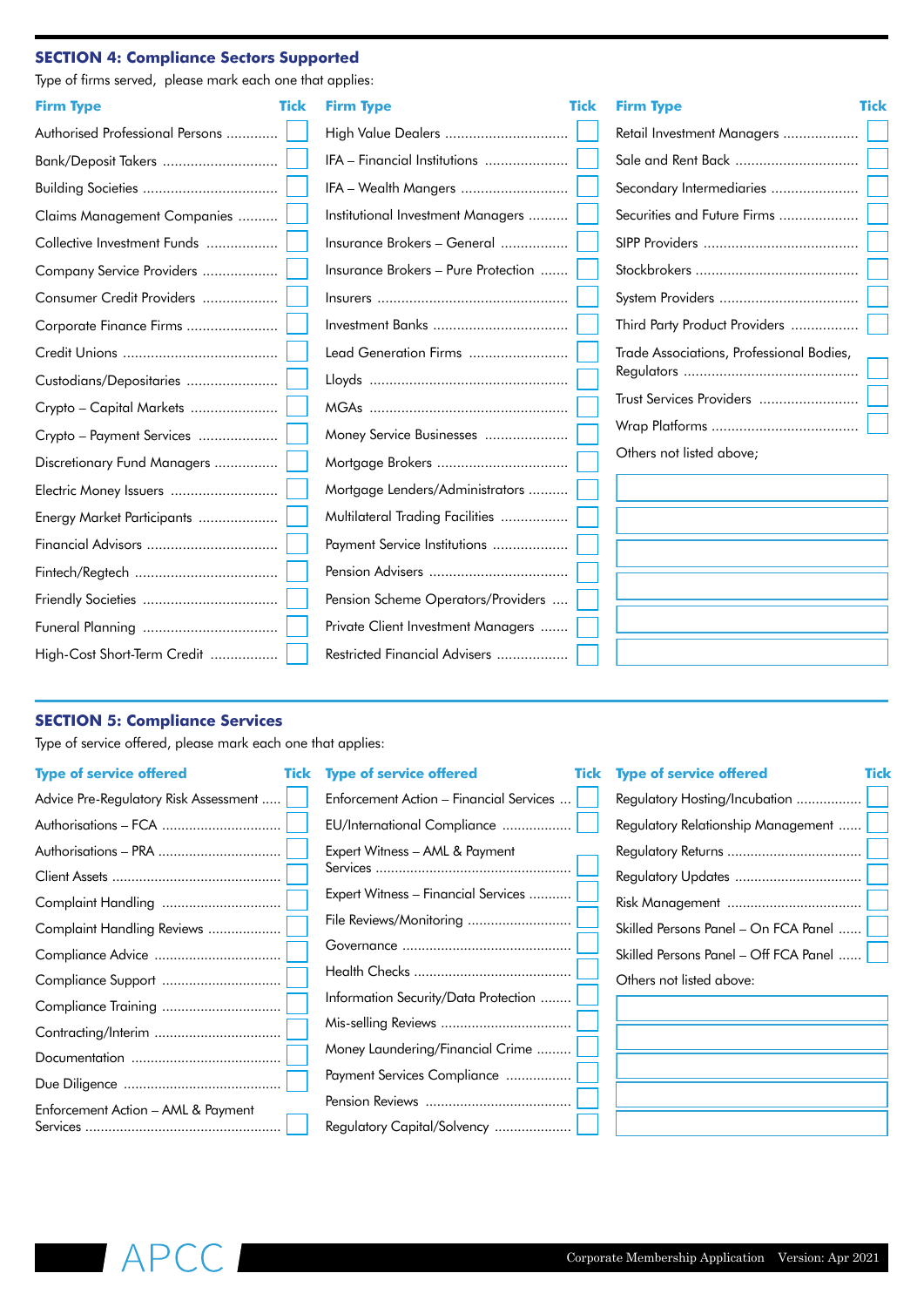## **SECTION 4: Compliance Sectors Supported**

Type of firms served, please mark each one that applies:

| <b>Firm Type</b>                | <b>Tick</b> | <b>Firm Type</b>                    | <b>Tick</b> | <b>Firm Type</b>                         | Tick |
|---------------------------------|-------------|-------------------------------------|-------------|------------------------------------------|------|
| Authorised Professional Persons |             | High Value Dealers                  |             | Retail Investment Managers               |      |
| Bank/Deposit Takers             |             | IFA - Financial Institutions        |             | Sale and Rent Back                       |      |
|                                 |             | IFA - Wealth Mangers                |             | Secondary Intermediaries                 |      |
| Claims Management Companies     |             | Institutional Investment Managers   |             | Securities and Future Firms              |      |
| Collective Investment Funds     |             | Insurance Brokers - General         |             |                                          |      |
| Company Service Providers       |             | Insurance Brokers - Pure Protection |             |                                          |      |
| Consumer Credit Providers       |             |                                     |             |                                          |      |
| Corporate Finance Firms         |             |                                     |             | Third Party Product Providers            |      |
|                                 |             | Lead Generation Firms               |             | Trade Associations, Professional Bodies, |      |
| Custodians/Depositaries         |             |                                     |             |                                          |      |
| Crypto – Capital Markets        |             |                                     |             | Trust Services Providers                 |      |
| Crypto - Payment Services       |             | Money Service Businesses            |             |                                          |      |
| Discretionary Fund Managers     |             | Mortgage Brokers                    |             | Others not listed above;                 |      |
| Electric Money Issuers          |             | Mortgage Lenders/Administrators     |             |                                          |      |
| Energy Market Participants      |             | Multilateral Trading Facilities     |             |                                          |      |
|                                 |             | Payment Service Institutions        |             |                                          |      |
|                                 |             |                                     |             |                                          |      |
|                                 |             | Pension Scheme Operators/Providers  |             |                                          |      |
|                                 |             | Private Client Investment Managers  |             |                                          |      |
| High-Cost Short-Term Credit     |             | Restricted Financial Advisers       |             |                                          |      |
|                                 |             |                                     |             |                                          |      |

## **SECTION 5: Compliance Services**

Type of service offered, please mark each one that applies:

## **Type of service offered**

| Advice Pre-Regulatory Risk Assessment |
|---------------------------------------|
| Authorisations - FCA                  |
| Authorisations - PRA                  |
|                                       |
| Complaint Handling                    |
| Complaint Handling Reviews            |
| Compliance Advice                     |
| Compliance Support                    |
| Compliance Training                   |
| Contracting/Interim                   |
|                                       |
|                                       |
| Enforcement Action – AML & Payment    |

#### **Tick** Type of service offered

| Enforcement Action – Financial Services |  |
|-----------------------------------------|--|
| EU/International Compliance             |  |
| Expert Witness - AML & Payment          |  |
| Expert Witness - Financial Services     |  |
| File Reviews/Monitoring                 |  |
|                                         |  |
|                                         |  |
| Information Security/Data Protection    |  |
| Mis-selling Reviews                     |  |
| Money Laundering/Financial Crime        |  |
| Payment Services Compliance             |  |
|                                         |  |
| Regulatory Capital/Solvency             |  |

#### **Tick** Type of service offered Tick

| Regulatory Hosting/Incubation         |  |  |  |
|---------------------------------------|--|--|--|
| Regulatory Relationship Management    |  |  |  |
|                                       |  |  |  |
|                                       |  |  |  |
|                                       |  |  |  |
| Skilled Persons Panel - On FCA Panel  |  |  |  |
| Skilled Persons Panel - Off FCA Panel |  |  |  |
| Others not listed above:              |  |  |  |

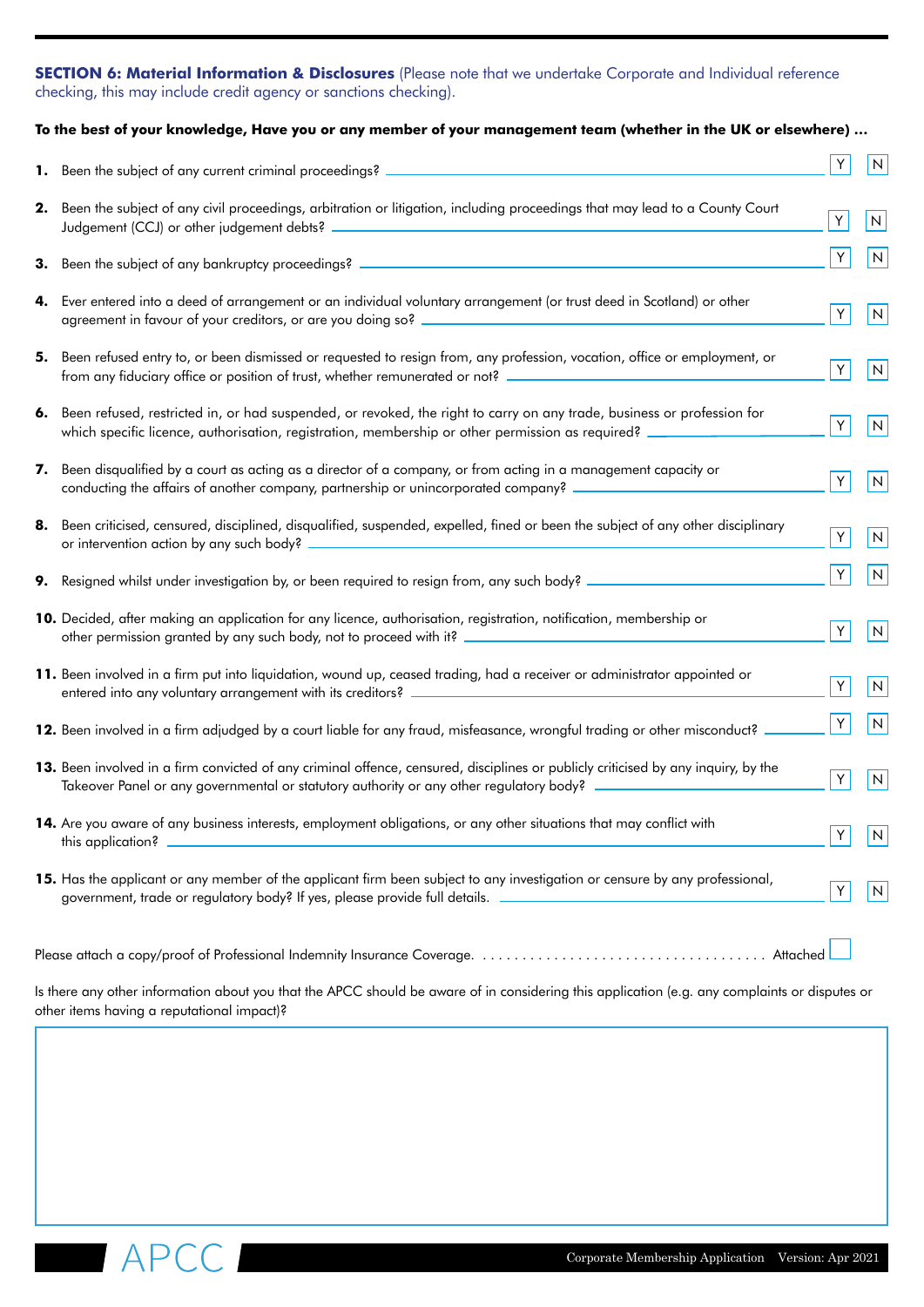## **SECTION 6: Material Information & Disclosures** (Please note that we undertake Corporate and Individual reference checking, this may include credit agency or sanctions checking).

## **To the best of your knowledge, Have you or any member of your management team (whether in the UK or elsewhere) …**

|    | 1. Been the subject of any current criminal proceedings? _                                                                                                                                                                                | Υ | N            |
|----|-------------------------------------------------------------------------------------------------------------------------------------------------------------------------------------------------------------------------------------------|---|--------------|
| 2. | Been the subject of any civil proceedings, arbitration or litigation, including proceedings that may lead to a County Court<br>Judgement (CCJ) or other judgement debts?                                                                  | Υ | $\mathsf{N}$ |
|    | 3. Been the subject of any bankruptcy proceedings? _____________________________                                                                                                                                                          | Y | N            |
| 4. | Ever entered into a deed of arrangement or an individual voluntary arrangement (or trust deed in Scotland) or other<br>agreement in favour of your creditors, or are you doing so? ____________________                                   | Y | N            |
| 5. | Been refused entry to, or been dismissed or requested to resign from, any profession, vocation, office or employment, or<br>from any fiduciary office or position of trust, whether remunerated or not? ________                          | Y | N            |
| 6. | Been refused, restricted in, or had suspended, or revoked, the right to carry on any trade, business or profession for<br>which specific licence, authorisation, registration, membership or other permission as required?                | Y | N            |
| 7. | Been disqualified by a court as acting as a director of a company, or from acting in a management capacity or<br>conducting the affairs of another company, partnership or unincorporated company?                                        | Y | N            |
| 8. | Been criticised, censured, disciplined, disqualified, suspended, expelled, fined or been the subject of any other disciplinary                                                                                                            | Y | ${\sf N}$    |
| 9. | Resigned whilst under investigation by, or been required to resign from, any such body?                                                                                                                                                   | Y | N            |
|    | 10. Decided, after making an application for any licence, authorisation, registration, notification, membership or                                                                                                                        | Y | N            |
|    | 11. Been involved in a firm put into liquidation, wound up, ceased trading, had a receiver or administrator appointed or                                                                                                                  | Y | ${\sf N}$    |
|    | 12. Been involved in a firm adjudged by a court liable for any fraud, misfeasance, wrongful trading or other misconduct?                                                                                                                  | Y | ${\sf N}$    |
|    | 13. Been involved in a firm convicted of any criminal offence, censured, disciplines or publicly criticised by any inquiry, by the<br>Takeover Panel or any governmental or statutory authority or any other regulatory body? ___________ | Υ | $\mathsf N$  |
|    | 14. Are you aware of any business interests, employment obligations, or any other situations that may conflict with<br>this application?                                                                                                  | Υ | N            |
|    | 15. Has the applicant or any member of the applicant firm been subject to any investigation or censure by any professional,<br>government, trade or regulatory body? If yes, please provide full details.                                 | Y | N            |
|    | Attached                                                                                                                                                                                                                                  |   |              |

Is there any other information about you that the APCC should be aware of in considering this application (e.g. any complaints or disputes or other items having a reputational impact)?

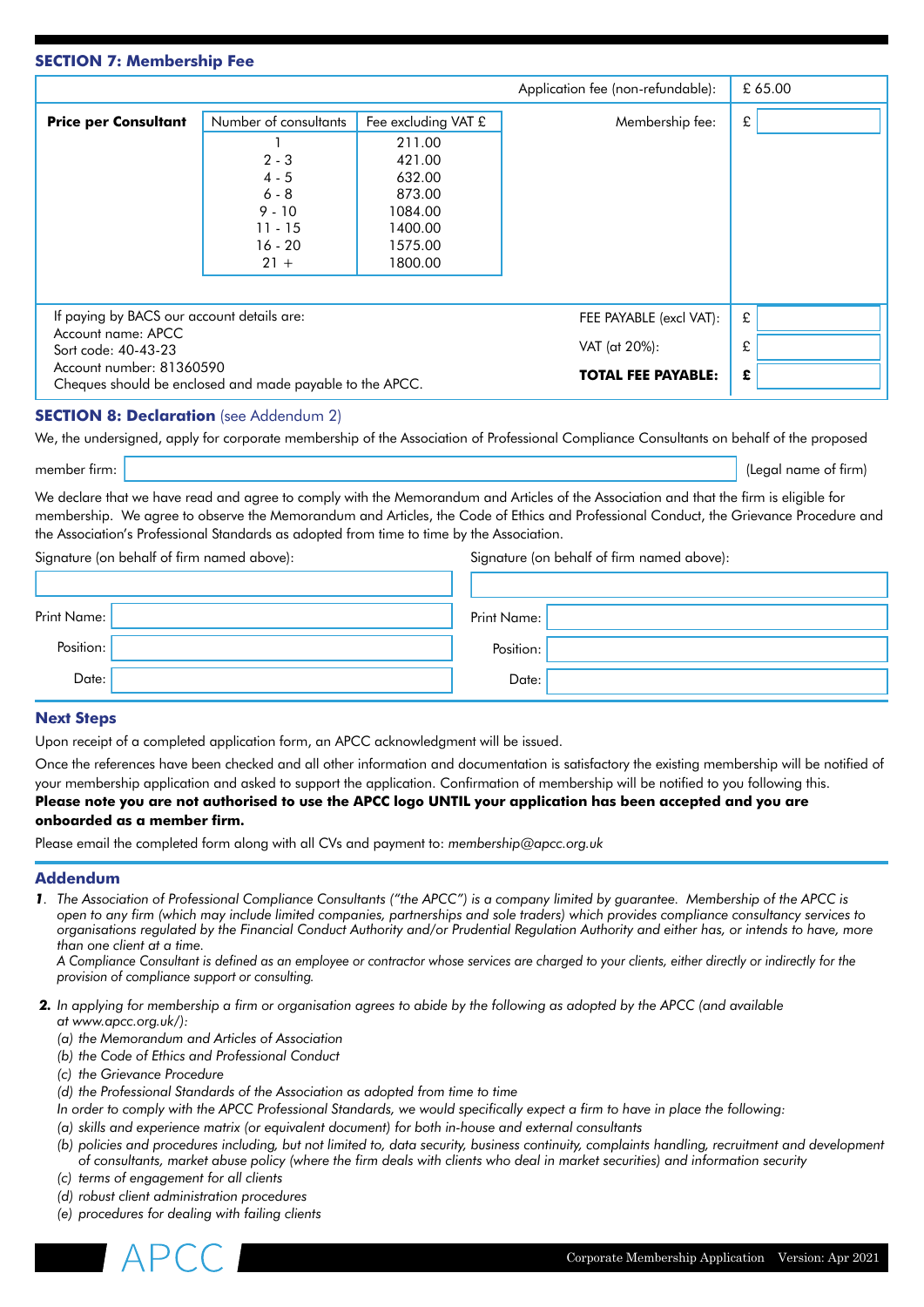## **SECTION 7: Membership Fee**

|                                                                  |                                                          |                     | Application fee (non-refundable): |   | £ 65.00 |
|------------------------------------------------------------------|----------------------------------------------------------|---------------------|-----------------------------------|---|---------|
| <b>Price per Consultant</b>                                      | Number of consultants                                    | Fee excluding VAT £ | Membership fee:                   | £ |         |
|                                                                  |                                                          | 211.00              |                                   |   |         |
|                                                                  | $2 - 3$                                                  | 421.00              |                                   |   |         |
|                                                                  | $4 - 5$                                                  | 632.00              |                                   |   |         |
|                                                                  | $6 - 8$                                                  | 873.00              |                                   |   |         |
|                                                                  | $9 - 10$                                                 | 1084.00             |                                   |   |         |
|                                                                  | $11 - 15$                                                | 1400.00             |                                   |   |         |
|                                                                  | $16 - 20$                                                | 1575.00             |                                   |   |         |
|                                                                  | $21 +$                                                   | 1800.00             |                                   |   |         |
|                                                                  |                                                          |                     |                                   |   |         |
| If paying by BACS our account details are:<br>Account name: APCC |                                                          |                     | FEE PAYABLE (excl VAT):           | £ |         |
|                                                                  |                                                          |                     | VAT (at 20%):                     | £ |         |
| Account number: 81360590                                         | Sort code: 40-43-23                                      |                     |                                   |   |         |
|                                                                  | Cheques should be enclosed and made payable to the APCC. |                     | <b>TOTAL FEE PAYABLE:</b>         | £ |         |

## **SECTION 8: Declaration** (see Addendum 2)

We, the undersigned, apply for corporate membership of the Association of Professional Compliance Consultants on behalf of the proposed

member firm: (Legal name of firm)

We declare that we have read and agree to comply with the Memorandum and Articles of the Association and that the firm is eligible for membership. We agree to observe the Memorandum and Articles, the Code of Ethics and Professional Conduct, the Grievance Procedure and the Association's Professional Standards as adopted from time to time by the Association.

Signature (on behalf of firm named above): Signature (on behalf of firm named above):

| Print Name: | Print Name: |
|-------------|-------------|
| Position:   | Position:   |
| Date:       | Date:       |

#### **Next Steps**

Upon receipt of a completed application form, an APCC acknowledgment will be issued.

Once the references have been checked and all other information and documentation is satisfactory the existing membership will be notified of your membership application and asked to support the application. Confirmation of membership will be notified to you following this.

# **Please note you are not authorised to use the APCC logo UNTIL your application has been accepted and you are onboarded as a member firm.**

Please email the completed form along with all CVs and payment to: *membership@apcc.org.uk*

# **Addendum**

*1. The Association of Professional Compliance Consultants ("the APCC") is a company limited by guarantee. Membership of the APCC is open to any firm (which may include limited companies, partnerships and sole traders) which provides compliance consultancy services to organisations regulated by the Financial Conduct Authority and/or Prudential Regulation Authority and either has, or intends to have, more than one client at a time.* 

*A Compliance Consultant is defined as an employee or contractor whose services are charged to your clients, either directly or indirectly for the provision of compliance support or consulting.*

- *2. In applying for membership a firm or organisation agrees to abide by the following as adopted by the APCC (and available at www.apcc.org.uk/):*
	- *(a) the Memorandum and Articles of Association*
	- *(b) the Code of Ethics and Professional Conduct*
	- *(c) the Grievance Procedure*
	- *(d) the Professional Standards of the Association as adopted from time to time*
	- *In order to comply with the APCC Professional Standards, we would specifically expect a firm to have in place the following:*
	- *(a) skills and experience matrix (or equivalent document) for both in-house and external consultants*
	- *(b) policies and procedures including, but not limited to, data security, business continuity, complaints handling, recruitment and development of consultants, market abuse policy (where the firm deals with clients who deal in market securities) and information security*
	- *(c) terms of engagement for all clients*
	- *(d) robust client administration procedures*
	- *(e) procedures for dealing with failing clients*